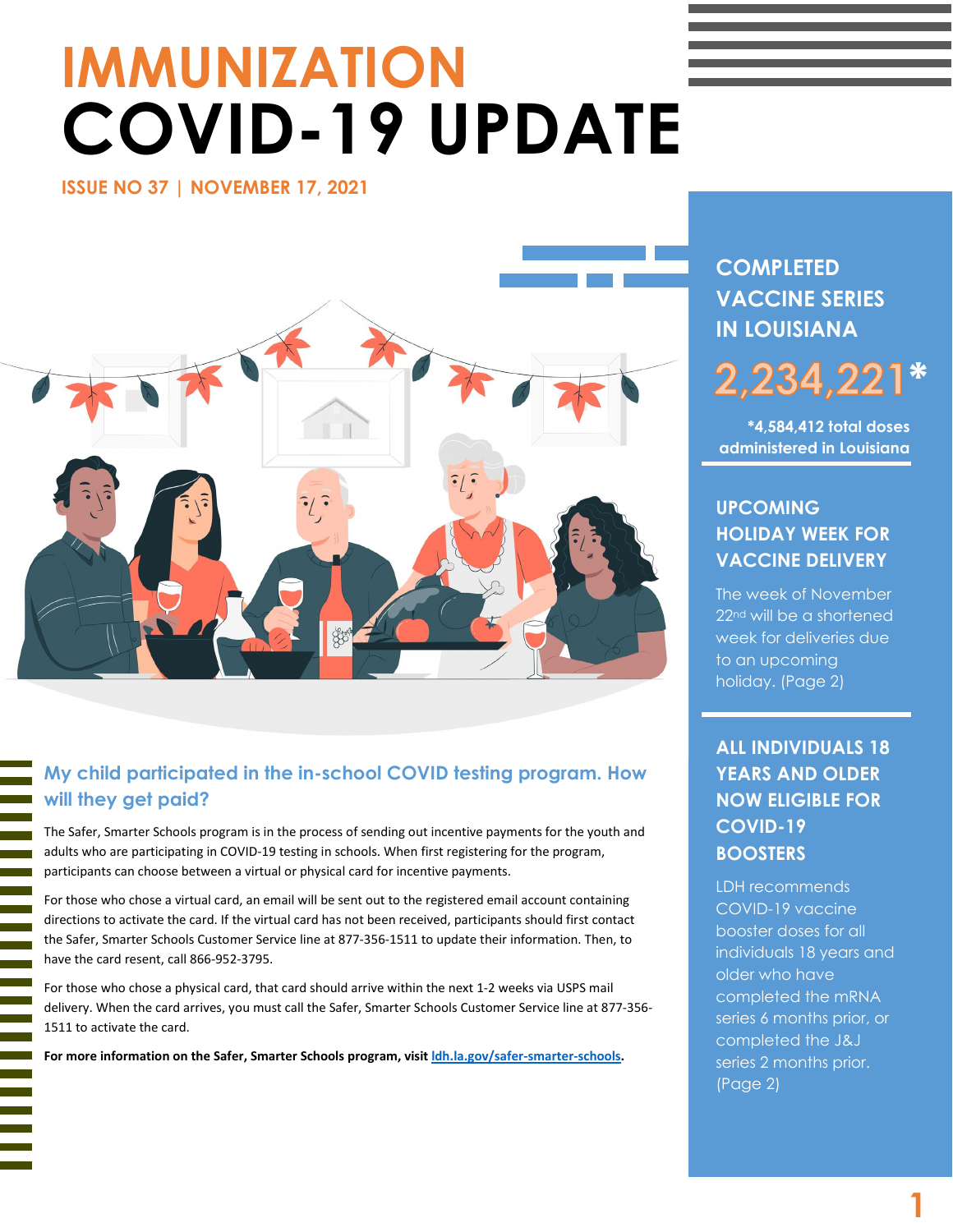# **IMMUNIZATION COVID-19 UPDATE**

**ISSUE NO 37 | NOVEMBER 17, 2021** 



# **My child participated in the in-school COVID testing program. How will they get paid?**

The Safer, Smarter Schools program is in the process of sending out incentive payments for the youth and adults who are participating in COVID-19 testing in schools. When first registering for the program, participants can choose between a virtual or physical card for incentive payments.

For those who chose a virtual card, an email will be sent out to the registered email account containing directions to activate the card. If the virtual card has not been received, participants should first contact the Safer, Smarter Schools Customer Service line at 877-356-1511 to update their information. Then, to have the card resent, call 866-952-3795.

For those who chose a physical card, that card should arrive within the next 1-2 weeks via USPS mail delivery. When the card arrives, you must call the Safer, Smarter Schools Customer Service line at 877-356- 1511 to activate the card.

**For more information on the Safer, Smarter Schools program, visi[t ldh.la.gov/safer-smarter-schools.](https://ldh.la.gov/safer-smarter-schools)**

l

# **COMPLETED VACCINE SERIES IN LOUISIANA**

# **\*** 2,234,22

**\*4,584,412 total doses administered in Louisiana**

# **UPCOMING HOLIDAY WEEK FOR VACCINE DELIVERY**

The week of November 22<sup>nd</sup> will be a shortened week for deliveries due to an upcoming holiday. (Page 2)

# **ALL INDIVIDUALS 18 YEARS AND OLDER NOW ELIGIBLE FOR COVID-19 BOOSTERS**

LDH recommends COVID-19 vaccine booster doses for all individuals 18 years and older who have completed the mRNA series 6 months prior, or completed the J&J series 2 months prior. (Page 2)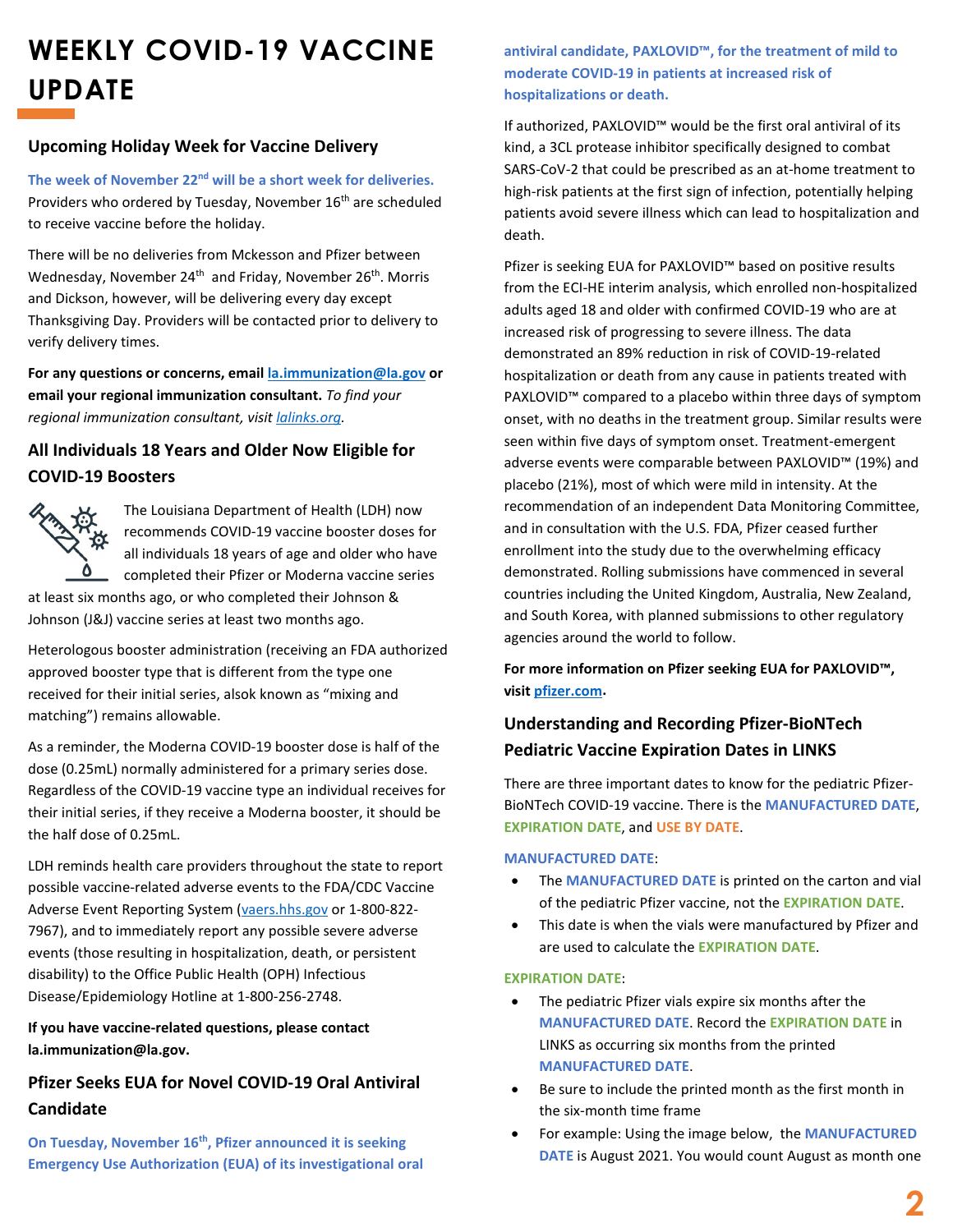# **WEEKLY COVID-19 VACCINE UPDATE**

#### **Upcoming Holiday Week for Vaccine Delivery**

**The week of November 22nd will be a short week for deliveries.** Providers who ordered by Tuesday, November 16<sup>th</sup> are scheduled to receive vaccine before the holiday.

There will be no deliveries from Mckesson and Pfizer between Wednesday, November 24<sup>th</sup> and Friday, November 26<sup>th</sup>. Morris and Dickson, however, will be delivering every day except Thanksgiving Day. Providers will be contacted prior to delivery to verify delivery times.

**For any questions or concerns, email [la.immunization@la.gov](mailto:la.immunization@la.gov) or email your regional immunization consultant.** *To find your regional immunization consultant, visi[t lalinks.org.](https://lalinks.org/linksweb/)*

## **All Individuals 18 Years and Older Now Eligible for COVID-19 Boosters**



The Louisiana Department of Health (LDH) now recommends COVID-19 vaccine booster doses for all individuals 18 years of age and older who have completed their Pfizer or Moderna vaccine series

at least six months ago, or who completed their Johnson & Johnson (J&J) vaccine series at least two months ago.

Heterologous booster administration (receiving an FDA authorized approved booster type that is different from the type one received for their initial series, alsok known as "mixing and matching") remains allowable.

As a reminder, the Moderna COVID-19 booster dose is half of the dose (0.25mL) normally administered for a primary series dose. Regardless of the COVID-19 vaccine type an individual receives for their initial series, if they receive a Moderna booster, it should be the half dose of 0.25mL.

LDH reminds health care providers throughout the state to report possible vaccine-related adverse events to the FDA/CDC Vaccine Adverse Event Reporting System [\(vaers.hhs.gov](https://vaers.hhs.gov/reportevent.html) or 1-800-822- 7967), and to immediately report any possible severe adverse events (those resulting in hospitalization, death, or persistent disability) to the Office Public Health (OPH) Infectious Disease/Epidemiology Hotline at 1-800-256-2748.

#### **If you have vaccine-related questions, please contact la.immunization@la.gov.**

## **Pfizer Seeks EUA for Novel COVID-19 Oral Antiviral Candidate**

**On Tuesday, November 16th, Pfizer announced it is seeking Emergency Use Authorization (EUA) of its investigational oral**  **antiviral candidate, PAXLOVID™, for the treatment of mild to moderate COVID-19 in patients at increased risk of hospitalizations or death.** 

If authorized, PAXLOVID™ would be the first oral antiviral of its kind, a 3CL protease inhibitor specifically designed to combat SARS-CoV-2 that could be prescribed as an at-home treatment to high-risk patients at the first sign of infection, potentially helping patients avoid severe illness which can lead to hospitalization and death.

Pfizer is seeking EUA for PAXLOVID™ based on positive results from the ECI-HE interim analysis, which enrolled non-hospitalized adults aged 18 and older with confirmed COVID-19 who are at increased risk of progressing to severe illness. The data demonstrated an 89% reduction in risk of COVID-19-related hospitalization or death from any cause in patients treated with PAXLOVID<sup>™</sup> compared to a placebo within three days of symptom onset, with no deaths in the treatment group. Similar results were seen within five days of symptom onset. Treatment-emergent adverse events were comparable between PAXLOVID™ (19%) and placebo (21%), most of which were mild in intensity. At the recommendation of an independent Data Monitoring Committee, and in consultation with the U.S. FDA, Pfizer ceased further enrollment into the study due to the overwhelming efficacy demonstrated. Rolling submissions have commenced in several countries including the United Kingdom, Australia, New Zealand, and South Korea, with planned submissions to other regulatory agencies around the world to follow.

**For more information on Pfizer seeking EUA for PAXLOVID™, visit [pfizer.com.](https://www.pfizer.com/news/press-release/press-release-detail/pfizer-seeks-emergency-use-authorization-novel-covid-19)** 

# **Understanding and Recording Pfizer-BioNTech Pediatric Vaccine Expiration Dates in LINKS**

There are three important dates to know for the pediatric Pfizer-BioNTech COVID-19 vaccine. There is the **MANUFACTURED DATE**, **EXPIRATION DATE**, and **USE BY DATE**.

#### **MANUFACTURED DATE**:

- The **MANUFACTURED DATE** is printed on the carton and vial of the pediatric Pfizer vaccine, not the **EXPIRATION DATE**.
- This date is when the vials were manufactured by Pfizer and are used to calculate the **EXPIRATION DATE**.

#### **EXPIRATION DATE**:

- The pediatric Pfizer vials expire six months after the **MANUFACTURED DATE**. Record the **EXPIRATION DATE** in LINKS as occurring six months from the printed **MANUFACTURED DATE**.
- Be sure to include the printed month as the first month in the six-month time frame
- For example: Using the image below, the **MANUFACTURED DATE** is August 2021. You would count August as month one